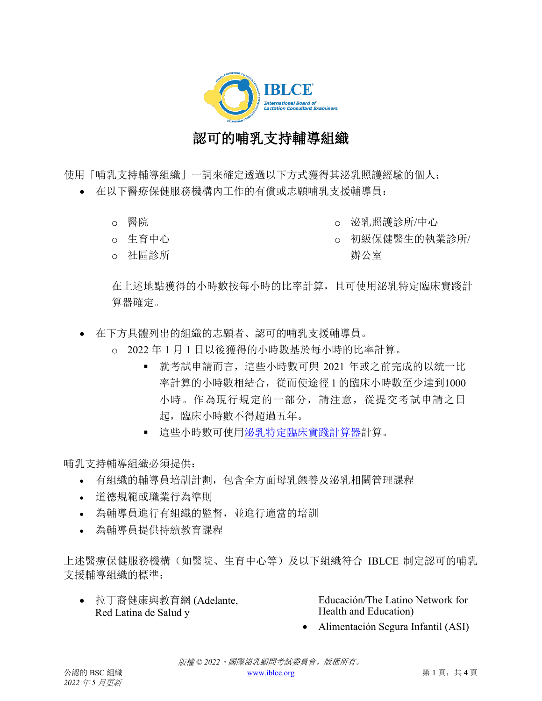

## 認可的哺乳支持輔導組織

使用「哺乳支持輔導組織」一詞來確定透過以下方式獲得其泌乳照護經驗的個人:

- 在以下醫療保健服務機構內工作的有償或志願哺乳支援輔導員:
	- o 醫院
	- o 生育中心
	- o 社區診所
- o 泌乳照護診所/中心
- o 初級保健醫生的執業診所/ 辦公室

在上述地點獲得的小時數按每小時的比率計算,且可使用泌乳特定臨床實踐計 算器確定。

- 在下方具體列出的組織的志願者、認可的哺乳支援輔導員。
	- o 2022 年 1 月 1 日以後獲得的小時數基於每小時的比率計算。
		- 就考試申請而言,這些小時數可與 2021 年或之前完成的以統一比 率計算的小時數相結合,從而使途徑 1 的臨床小時數至少達到1000 小時。作為現行規定的一部分,請注意,從提交考試申請之日 起,臨床小時數不得超過五年。
		- 這些小時數可使[用泌乳特定臨床實踐計算器計](https://iblce.org/wp-content/uploads/2019/12/September_2019_FINAL_Lactation-Specific-Clinical-Practice-Calculator-1_TRADITIONAL-CHINESE.xlsx)算。

哺乳支持輔導組織必須提供:

- 有組織的輔導員培訓計劃,包含全方面母乳餵養及泌乳相關管理課程
- 道德規範或職業行為準則
- 為輔導員進行有組織的監督,並進行適當的培訓
- 為輔導員提供持續教育課程

上述醫療保健服務機構(如醫院、生育中心等)及以下組織符合 IBLCE 制定認可的哺乳 支援輔導組織的標準:

• 拉丁裔健康與教育網 (Adelante, Red Latina de Salud y

Educación/The Latino Network for Health and Education)

• Alimentación Segura Infantil (ASI)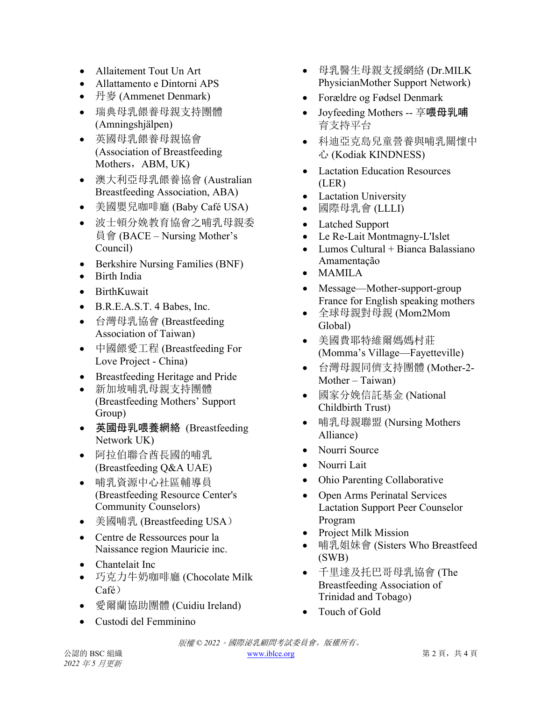- Allaitement Tout Un Art
- Allattamento e Dintorni APS
- 丹麥 (Ammenet Denmark)
- 瑞典母乳餵養母親支持團體 (Amningshjälpen)
- 英國母乳餵養母親協會 (Association of Breastfeeding Mothers, ABM, UK)
- 澳大利亞母乳餵養協會 (Australian Breastfeeding Association, ABA)
- 美國嬰兒咖啡廳 (Baby Café USA)
- 波士頓分娩教育協會之哺乳母親委 員會 (BACE – Nursing Mother's Council)
- Berkshire Nursing Families (BNF)
- Birth India
- BirthKuwait
- B.R.E.A.S.T. 4 Babes, Inc.
- 台灣母乳協會 (Breastfeeding Association of Taiwan)
- 中國餵愛工程 (Breastfeeding For Love Project - China)
- Breastfeeding Heritage and Pride
- 新加坡哺乳母親支持團體 (Breastfeeding Mothers' Support Group)
- 英國母乳喂養網絡 (Breastfeeding Network UK)
- 阿拉伯聯合酋長國的哺乳 (Breastfeeding Q&A UAE)
- 哺乳資源中心社區輔導員 (Breastfeeding Resource Center's Community Counselors)
- 美國哺乳 (Breastfeeding USA)
- Centre de Ressources pour la Naissance region Mauricie inc.
- Chantelait Inc
- 巧克力牛奶咖啡廳 (Chocolate Milk Café)
- 愛爾蘭協助團體 (Cuidiu Ireland)
- Custodi del Femminino
- 母乳醫生母親支援網絡 (Dr.MILK PhysicianMother Support Network)
- Forældre og Fødsel Denmark
- Joyfeeding Mothers -- 享喂母乳哺 育支持平台
- 科迪亞克島兒童營養與哺乳關懷中 心 (Kodiak KINDNESS)
- Lactation Education Resources (LER)
- Lactation University
- 國際母乳會 (LLLI)
- Latched Support
- Le Re-Lait Montmagny-L'Islet
- Lumos Cultural + Bianca Balassiano Amamentação
- MAMILA
- Message—Mother-support-group France for English speaking mothers
- 全球母親對母親 (Mom2Mom Global)
- 美國費耶特維爾媽媽村莊 (Momma's Village—Fayetteville)
- 台灣母親同儕支持團體 (Mother-2- Mother – Taiwan)
- 國家分娩信託基金 (National Childbirth Trust)
- 哺乳母親聯盟 (Nursing Mothers Alliance)
- Nourri Source
- Nourri Lait
- Ohio Parenting Collaborative
- Open Arms Perinatal Services Lactation Support Peer Counselor Program
- Project Milk Mission
- 哺乳姐妹會 (Sisters Who Breastfeed (SWB)
- 千里達及托巴哥母乳協會 (The Breastfeeding Association of Trinidad and Tobago)
- Touch of Gold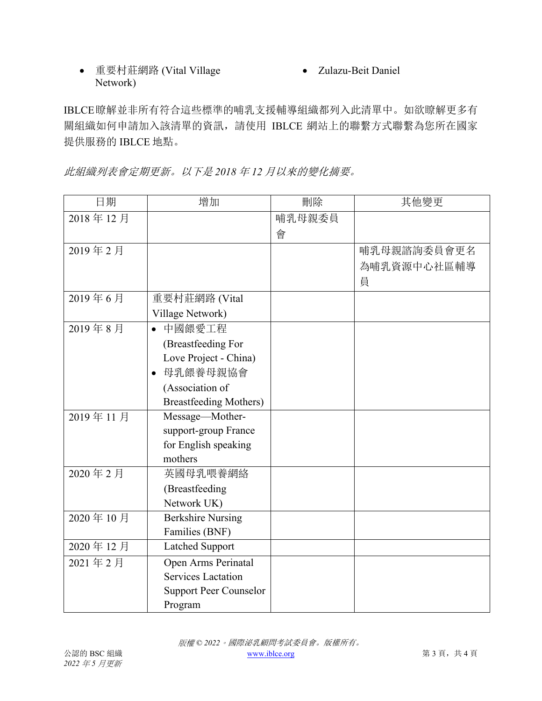## • 重要村莊網路 (Vital Village Network)

• Zulazu-Beit Daniel

IBLCE瞭解並非所有符合這些標準的哺乳支援輔導組織都列入此清單中。如欲瞭解更多有 關組織如何申請加入該清單的資訊,請使用 IBLCE 網站上的聯繫方式聯繫為您所在國家 提供服務的 IBLCE 地點。

此組織列表會定期更新。以下是 *2018* 年 *12* 月以來的變化摘要。

| 日期       | 增加                            | 刪除     | 其他變更        |
|----------|-------------------------------|--------|-------------|
| 2018年12月 |                               | 哺乳母親委員 |             |
|          |                               | 會      |             |
| 2019年2月  |                               |        | 哺乳母親諮詢委員會更名 |
|          |                               |        | 為哺乳資源中心社區輔導 |
|          |                               |        | 員           |
| 2019年6月  | 重要村莊網路 (Vital                 |        |             |
|          | Village Network)              |        |             |
| 2019年8月  | 中國餵愛工程<br>$\bullet$           |        |             |
|          | (Breastfeeding For            |        |             |
|          | Love Project - China)         |        |             |
|          | 母乳餵養母親協會                      |        |             |
|          | (Association of               |        |             |
|          | <b>Breastfeeding Mothers)</b> |        |             |
| 2019年11月 | Message-Mother-               |        |             |
|          | support-group France          |        |             |
|          | for English speaking          |        |             |
|          | mothers                       |        |             |
| 2020年2月  | 英國母乳喂養網絡                      |        |             |
|          | (Breastfeeding                |        |             |
|          | Network UK)                   |        |             |
| 2020年10月 | <b>Berkshire Nursing</b>      |        |             |
|          | Families (BNF)                |        |             |
| 2020年12月 | <b>Latched Support</b>        |        |             |
| 2021年2月  | Open Arms Perinatal           |        |             |
|          | <b>Services Lactation</b>     |        |             |
|          | <b>Support Peer Counselor</b> |        |             |
|          | Program                       |        |             |